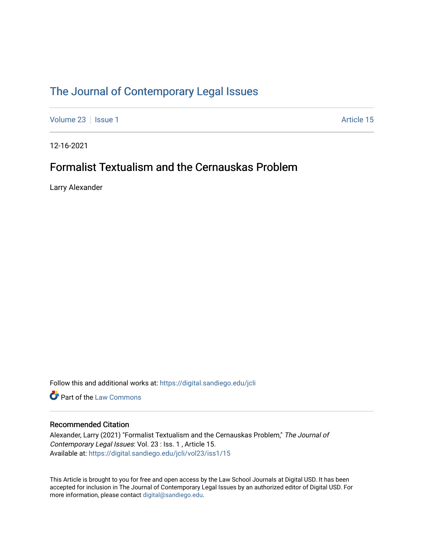## [The Journal of Contemporary Legal Issues](https://digital.sandiego.edu/jcli)

[Volume 23](https://digital.sandiego.edu/jcli/vol23) | [Issue 1](https://digital.sandiego.edu/jcli/vol23/iss1) Article 15

12-16-2021

### Formalist Textualism and the Cernauskas Problem

Larry Alexander

Follow this and additional works at: [https://digital.sandiego.edu/jcli](https://digital.sandiego.edu/jcli?utm_source=digital.sandiego.edu%2Fjcli%2Fvol23%2Fiss1%2F15&utm_medium=PDF&utm_campaign=PDFCoverPages) 

**Part of the [Law Commons](http://network.bepress.com/hgg/discipline/578?utm_source=digital.sandiego.edu%2Fjcli%2Fvol23%2Fiss1%2F15&utm_medium=PDF&utm_campaign=PDFCoverPages)** 

### Recommended Citation

Alexander, Larry (2021) "Formalist Textualism and the Cernauskas Problem," The Journal of Contemporary Legal Issues: Vol. 23 : Iss. 1 , Article 15. Available at: [https://digital.sandiego.edu/jcli/vol23/iss1/15](https://digital.sandiego.edu/jcli/vol23/iss1/15?utm_source=digital.sandiego.edu%2Fjcli%2Fvol23%2Fiss1%2F15&utm_medium=PDF&utm_campaign=PDFCoverPages) 

This Article is brought to you for free and open access by the Law School Journals at Digital USD. It has been accepted for inclusion in The Journal of Contemporary Legal Issues by an authorized editor of Digital USD. For more information, please contact [digital@sandiego.edu.](mailto:digital@sandiego.edu)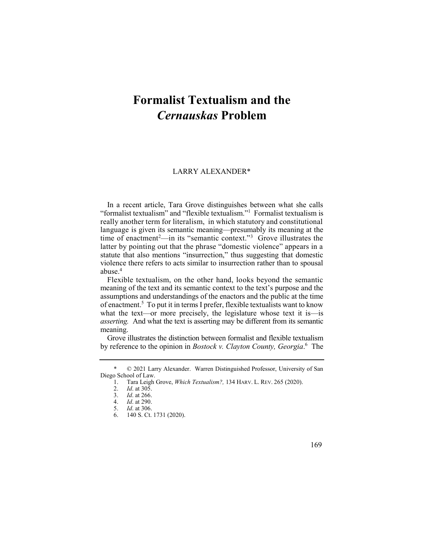# **Formalist Textualism and the**  *Cernauskas* **Problem**

#### LARRY ALEXANDER\*

 "formalist textualism" and "flexible textualism."1 Formalist textualism is time of enactment<sup>2</sup>—in its "semantic context."<sup>3</sup> Grove illustrates the In a recent article, Tara Grove distinguishes between what she calls really another term for literalism, in which statutory and constitutional language is given its semantic meaning—presumably its meaning at the latter by pointing out that the phrase "domestic violence" appears in a statute that also mentions "insurrection," thus suggesting that domestic violence there refers to acts similar to insurrection rather than to spousal abuse.4

 Flexible textualism, on the other hand, looks beyond the semantic of enactment.5 To put it in terms I prefer, flexible textualists want to know meaning of the text and its semantic context to the text's purpose and the assumptions and understandings of the enactors and the public at the time what the text—or more precisely, the legislature whose text it is—is *asserting.* And what the text is asserting may be different from its semantic meaning.

 Grove illustrates the distinction between formalist and flexible textualism by reference to the opinion in *Bostock v. Clayton County, Georgia*. 6 The



 \* © 2021 Larry Alexander. Warren Distinguished Professor, University of San Diego School of Law.

 1. Tara Leigh Grove, *Which Textualism?,* 134 HARV. L. REV. 265 (2020).

<sup>2.</sup> *Id*. at 305.

<sup>3.</sup> *Id*. at 266.

<sup>4.</sup> *Id*. at 290.

<sup>5.</sup> *Id*. at 306.

<sup>6. 140</sup> S. Ct. 1731 (2020).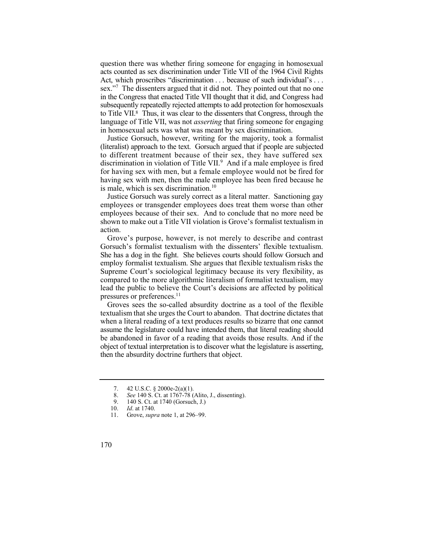question there was whether firing someone for engaging in homosexual to Title VII.8 Thus, it was clear to the dissenters that Congress, through the acts counted as sex discrimination under Title VII of the 1964 Civil Rights Act, which proscribes "discrimination . . . because of such individual's . . . sex."<sup>7</sup> The dissenters argued that it did not. They pointed out that no one in the Congress that enacted Title VII thought that it did, and Congress had subsequently repeatedly rejected attempts to add protection for homosexuals language of Title VII, was not *asserting* that firing someone for engaging in homosexual acts was what was meant by sex discrimination.

 Justice Gorsuch, however, writing for the majority, took a formalist discrimination in violation of Title VII. $<sup>9</sup>$  And if a male employee is fired</sup> (literalist) approach to the text. Gorsuch argued that if people are subjected to different treatment because of their sex, they have suffered sex for having sex with men, but a female employee would not be fired for having sex with men, then the male employee has been fired because he is male, which is sex discrimination.<sup>10</sup>

 Justice Gorsuch was surely correct as a literal matter. Sanctioning gay employees or transgender employees does treat them worse than other employees because of their sex. And to conclude that no more need be shown to make out a Title VII violation is Grove's formalist textualism in action.

 Grove's purpose, however, is not merely to describe and contrast Gorsuch's formalist textualism with the dissenters' flexible textualism. She has a dog in the fight. She believes courts should follow Gorsuch and employ formalist textualism. She argues that flexible textualism risks the Supreme Court's sociological legitimacy because its very flexibility, as compared to the more algorithmic literalism of formalist textualism, may lead the public to believe the Court's decisions are affected by political pressures or preferences.<sup>11</sup>

 Groves sees the so-called absurdity doctrine as a tool of the flexible textualism that she urges the Court to abandon. That doctrine dictates that when a literal reading of a text produces results so bizarre that one cannot assume the legislature could have intended them, that literal reading should be abandoned in favor of a reading that avoids those results. And if the object of textual interpretation is to discover what the legislature is asserting, then the absurdity doctrine furthers that object.

- 8. *See* 140 S. Ct. at 1767-78 (Alito, J., dissenting).
- 9. 140 S. Ct. at 1740 (Gorsuch, J.)

<sup>7. 42</sup> U.S.C. § 2000e-2(a)(1).

<sup>10.</sup> *Id*. at 1740.

<sup>11.</sup> Grove, *supra* note 1, at 296–99.

<sup>170</sup>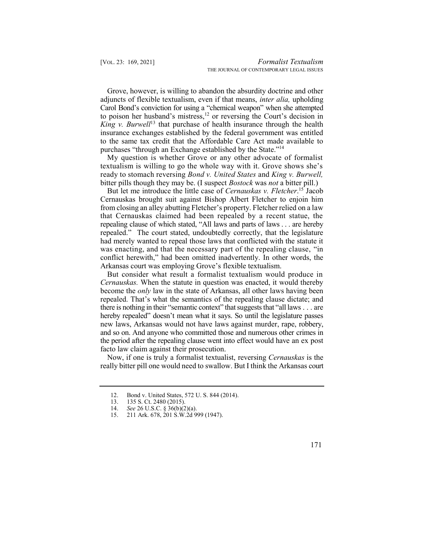*King v. Burwell*13 that purchase of health insurance through the health Grove, however, is willing to abandon the absurdity doctrine and other adjuncts of flexible textualism, even if that means, *inter alia,* upholding Carol Bond's conviction for using a "chemical weapon" when she attempted to poison her husband's mistress,<sup>12</sup> or reversing the Court's decision in insurance exchanges established by the federal government was entitled to the same tax credit that the Affordable Care Act made available to purchases "through an Exchange established by the State."<sup>14</sup>

 My question is whether Grove or any other advocate of formalist textualism is willing to go the whole way with it. Grove shows she's ready to stomach reversing *Bond v. United States* and *King v. Burwell,*  bitter pills though they may be. (I suspect *Bostock* was *not* a bitter pill.)

 But let me introduce the little case of *Cernauskas v. [Fletcher](https://Fletcher.15)*. 15 Jacob had merely wanted to repeal those laws that conflicted with the statute it was enacting, and that the necessary part of the repealing clause, "in conflict herewith," had been omitted inadvertently. In other words, the Cernauskas brought suit against Bishop Albert Fletcher to enjoin him from closing an alley abutting Fletcher's property. Fletcher relied on a law that Cernauskas claimed had been repealed by a recent statue, the repealing clause of which stated, "All laws and parts of laws . . . are hereby repealed." The court stated, undoubtedly correctly, that the legislature Arkansas court was employing Grove's flexible textualism.

 But consider what result a formalist textualism would produce in *Cernauskas.* When the statute in question was enacted, it would thereby become the *only* law in the state of Arkansas, all other laws having been repealed. That's what the semantics of the repealing clause dictate; and there is nothing in their "semantic context" that suggests that "all laws  $\dots$  are hereby repealed" doesn't mean what it says. So until the legislature passes new laws, Arkansas would not have laws against murder, rape, robbery, and so on. And anyone who committed those and numerous other crimes in the period after the repealing clause went into effect would have an ex post facto law claim against their prosecution.

 Now, if one is truly a formalist textualist, reversing *Cernauskas* is the really bitter pill one would need to swallow. But I think the Arkansas court

171

<sup>12.</sup> Bond v. United States, 572 U. S. 844 (2014).<br>13. 135 S. Ct. 2480 (2015).

<sup>135</sup> S. Ct. 2480 (2015).

 14. *See* 26 U.S.C. § 36(b)(2)(a).

 15. 211 Ark. 678, 201 S.W.2d 999 (1947).